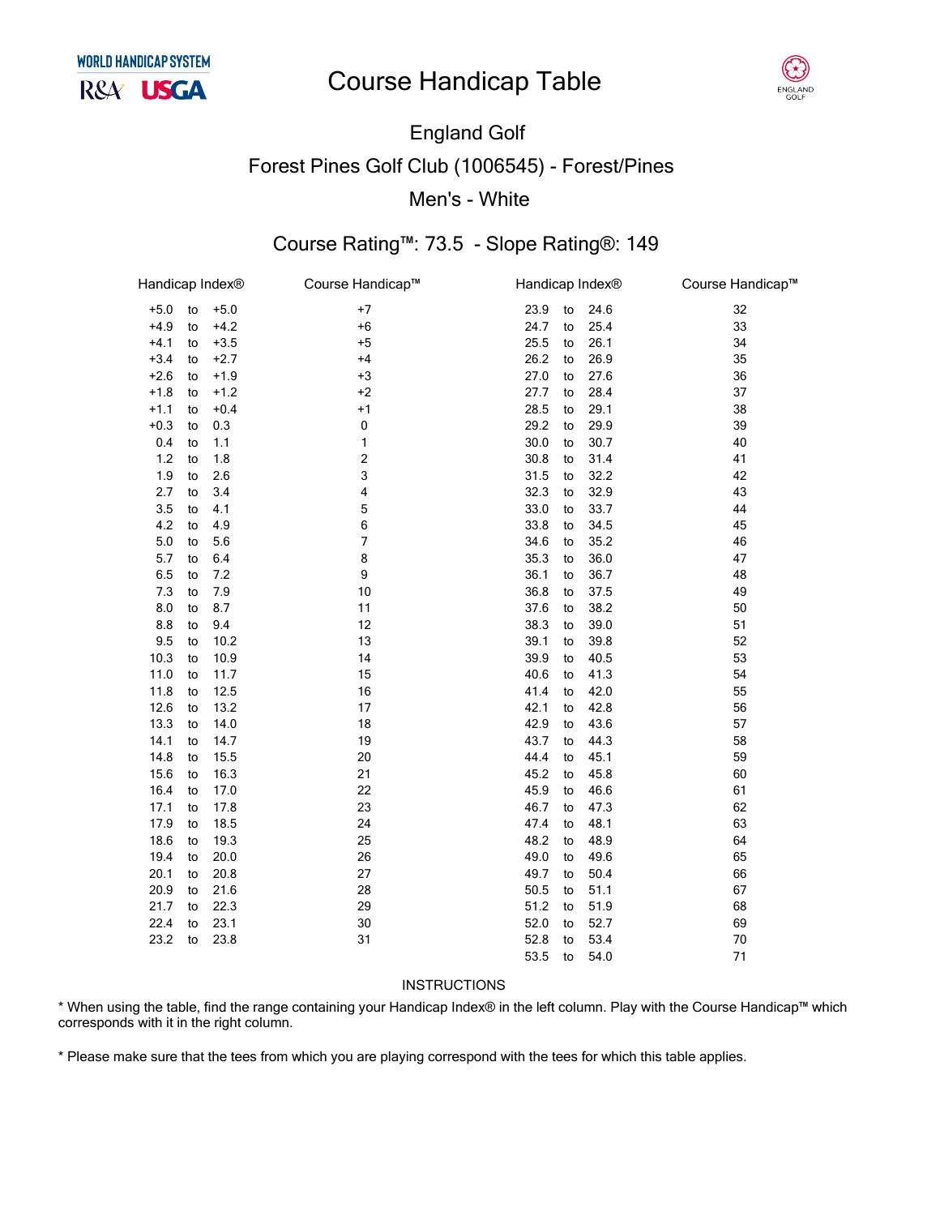# **Course Handicap Table**



# **England Golf Forest Pines Golf Club (1006545) - Forest/Pines** Men's - White

### Course Rating™: 73.5 - Slope Rating®: 149

| Handicap Index® |    |        | Course Handicap™        | Handicap Index® |    |      | Course Handicap™ |
|-----------------|----|--------|-------------------------|-----------------|----|------|------------------|
| $+5.0$          | to | $+5.0$ | $+7$                    | 23.9            | to | 24.6 | 32               |
| $+4.9$          | to | $+4.2$ | $+6$                    | 24.7            | to | 25.4 | 33               |
| $+4.1$          | to | $+3.5$ | $+5$                    | 25.5            | to | 26.1 | 34               |
| $+3.4$          | to | $+2.7$ | $+4$                    | 26.2            | to | 26.9 | 35               |
| $+2.6$          | to | $+1.9$ | $+3$                    | 27.0            | to | 27.6 | 36               |
| $+1.8$          | to | $+1.2$ | $+2$                    | 27.7            | to | 28.4 | 37               |
| $+1.1$          | to | $+0.4$ | $+1$                    | 28.5            | to | 29.1 | 38               |
| $+0.3$          | to | 0.3    | $\pmb{0}$               | 29.2            | to | 29.9 | 39               |
| 0.4             | to | 1.1    | 1                       | 30.0            | to | 30.7 | 40               |
| $1.2$           | to | 1.8    | $\overline{\mathbf{c}}$ | 30.8            | to | 31.4 | 41               |
| 1.9             | to | 2.6    | 3                       | 31.5            | to | 32.2 | 42               |
| 2.7             | to | 3.4    | 4                       | 32.3            | to | 32.9 | 43               |
| 3.5             | to | 4.1    | 5                       | 33.0            | to | 33.7 | 44               |
| 4.2             | to | 4.9    | 6                       | 33.8            | to | 34.5 | 45               |
| $5.0\,$         | to | 5.6    | 7                       | 34.6            | to | 35.2 | 46               |
| 5.7             | to | 6.4    | 8                       | 35.3            | to | 36.0 | 47               |
| 6.5             | to | 7.2    | 9                       | 36.1            | to | 36.7 | 48               |
| 7.3             | to | 7.9    | 10                      | 36.8            | to | 37.5 | 49               |
| 8.0             | to | 8.7    | 11                      | 37.6            | to | 38.2 | 50               |
| 8.8             | to | 9.4    | 12                      | 38.3            | to | 39.0 | 51               |
| 9.5             | to | 10.2   | 13                      | 39.1            | to | 39.8 | 52               |
| 10.3            | to | 10.9   | 14                      | 39.9            | to | 40.5 | 53               |
| 11.0            | to | 11.7   | 15                      | 40.6            | to | 41.3 | 54               |
| 11.8            | to | 12.5   | 16                      | 41.4            | to | 42.0 | 55               |
| 12.6            | to | 13.2   | 17                      | 42.1            | to | 42.8 | 56               |
| 13.3            | to | 14.0   | 18                      | 42.9            | to | 43.6 | 57               |
| 14.1            | to | 14.7   | 19                      | 43.7            | to | 44.3 | 58               |
| 14.8            | to | 15.5   | 20                      | 44.4            | to | 45.1 | 59               |
| 15.6            | to | 16.3   | 21                      | 45.2            | to | 45.8 | 60               |
| 16.4            | to | 17.0   | 22                      | 45.9            | to | 46.6 | 61               |
| 17.1            | to | 17.8   | 23                      | 46.7            | to | 47.3 | 62               |
| 17.9            | to | 18.5   | 24                      | 47.4            | to | 48.1 | 63               |
| 18.6            | to | 19.3   | 25                      | 48.2            | to | 48.9 | 64               |
| 19.4            | to | 20.0   | 26                      | 49.0            | to | 49.6 | 65               |
| 20.1            | to | 20.8   | 27                      | 49.7            | to | 50.4 | 66               |
| 20.9            | to | 21.6   | 28                      | 50.5            | to | 51.1 | 67               |
| 21.7            | to | 22.3   | 29                      | 51.2            | to | 51.9 | 68               |
| 22.4            | to | 23.1   | 30                      | 52.0            | to | 52.7 | 69               |
| 23.2            | to | 23.8   | 31                      | 52.8            | to | 53.4 | 70               |
|                 |    |        |                         | 53.5            | to | 54.0 | 71               |
|                 |    |        |                         |                 |    |      |                  |

#### INSTRUCTIONS

\* When using the table, find the range containing your Handicap Index® in the left column. Play with the Course Handicap™ which corresponds with it in the right column.

\* Please make sure that the tees from which you are playing correspond with the tees for which this table applies.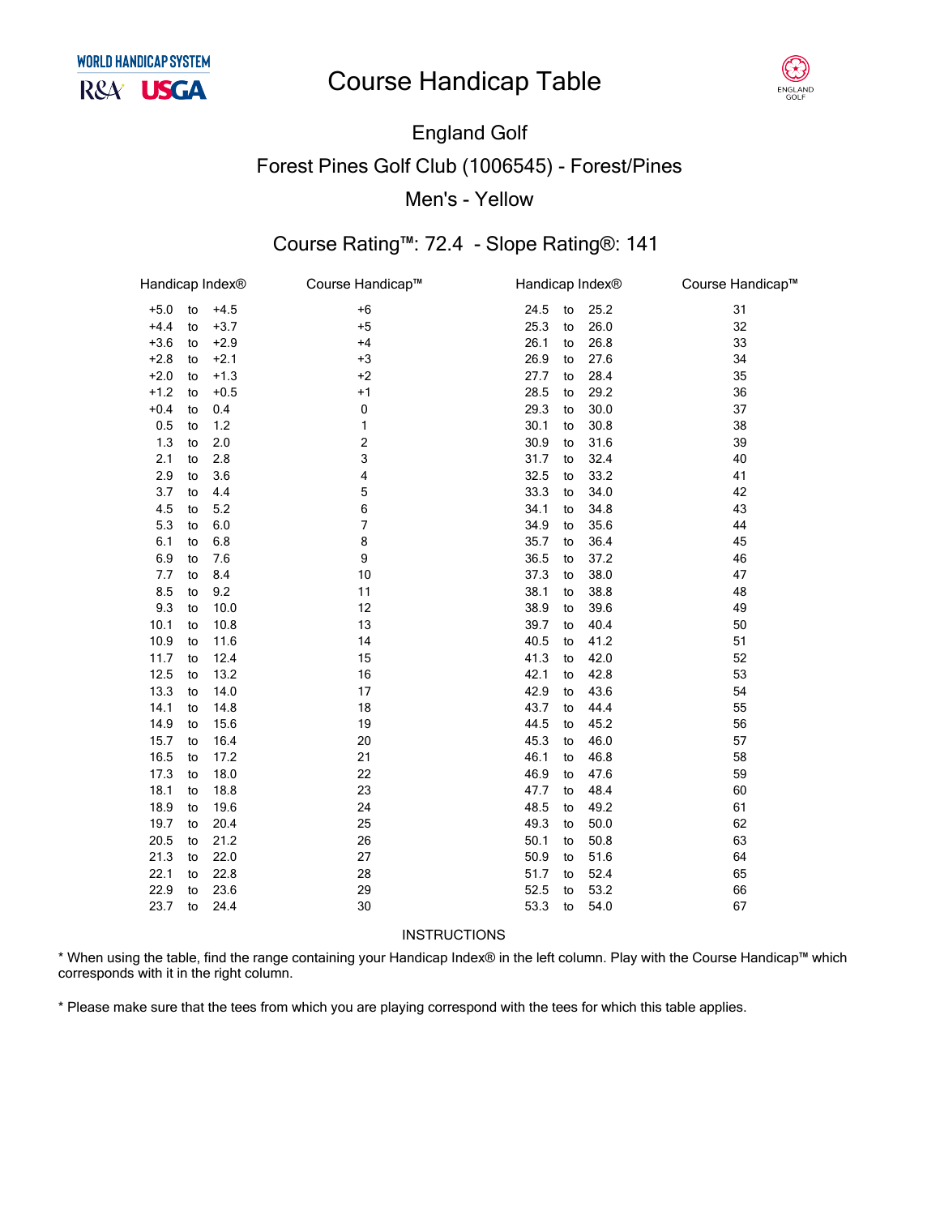# **Course Handicap Table**



### England Golf Forest Pines Golf Club (1006545) - Forest/Pines Men's - Yellow

### Course Rating™: 72.4 - Slope Rating®: 141

| Handicap Index® |    |        | Course Handicap™         | Handicap Index® |    |      | Course Handicap™ |
|-----------------|----|--------|--------------------------|-----------------|----|------|------------------|
| $+5.0$          | to | $+4.5$ | $+6$                     | 24.5            | to | 25.2 | 31               |
| $+4.4$          | to | $+3.7$ | $+5$                     | 25.3            | to | 26.0 | 32               |
| $+3.6$          | to | $+2.9$ | $+4$                     | 26.1            | to | 26.8 | 33               |
| $+2.8$          | to | $+2.1$ | $+3$                     | 26.9            | to | 27.6 | 34               |
| $+2.0$          | to | $+1.3$ | $+2$                     | 27.7            | to | 28.4 | 35               |
| $+1.2$          | to | $+0.5$ | $+1$                     | 28.5            | to | 29.2 | 36               |
| $+0.4$          | to | 0.4    | 0                        | 29.3            | to | 30.0 | 37               |
| 0.5             | to | 1.2    | 1                        | 30.1            | to | 30.8 | 38               |
| 1.3             | to | 2.0    | $\sqrt{2}$               | 30.9            | to | 31.6 | 39               |
| 2.1             | to | 2.8    | 3                        | 31.7            | to | 32.4 | 40               |
| 2.9             | to | 3.6    | $\overline{\mathbf{4}}$  | 32.5            | to | 33.2 | 41               |
| 3.7             | to | 4.4    | 5                        | 33.3            | to | 34.0 | 42               |
| 4.5             | to | 5.2    | 6                        | 34.1            | to | 34.8 | 43               |
| 5.3             | to | 6.0    | $\overline{\phantom{a}}$ | 34.9            | to | 35.6 | 44               |
| 6.1             | to | 6.8    | 8                        | 35.7            | to | 36.4 | 45               |
| 6.9             | to | 7.6    | 9                        | 36.5            | to | 37.2 | 46               |
| 7.7             | to | 8.4    | 10                       | 37.3            | to | 38.0 | 47               |
| 8.5             | to | 9.2    | 11                       | 38.1            | to | 38.8 | 48               |
| 9.3             | to | 10.0   | 12                       | 38.9            | to | 39.6 | 49               |
| 10.1            | to | 10.8   | 13                       | 39.7            | to | 40.4 | 50               |
| 10.9            | to | 11.6   | 14                       | 40.5            | to | 41.2 | 51               |
| 11.7            | to | 12.4   | 15                       | 41.3            | to | 42.0 | 52               |
| 12.5            | to | 13.2   | 16                       | 42.1            | to | 42.8 | 53               |
| 13.3            | to | 14.0   | 17                       | 42.9            | to | 43.6 | 54               |
| 14.1            | to | 14.8   | 18                       | 43.7            | to | 44.4 | 55               |
| 14.9            | to | 15.6   | 19                       | 44.5            | to | 45.2 | 56               |
| 15.7            | to | 16.4   | 20                       | 45.3            | to | 46.0 | 57               |
| 16.5            | to | 17.2   | 21                       | 46.1            | to | 46.8 | 58               |
| 17.3            | to | 18.0   | 22                       | 46.9            | to | 47.6 | 59               |
| 18.1            | to | 18.8   | 23                       | 47.7            | to | 48.4 | 60               |
| 18.9            | to | 19.6   | 24                       | 48.5            | to | 49.2 | 61               |
| 19.7            | to | 20.4   | 25                       | 49.3            | to | 50.0 | 62               |
| 20.5            | to | 21.2   | 26                       | 50.1            | to | 50.8 | 63               |
| 21.3            | to | 22.0   | 27                       | 50.9            | to | 51.6 | 64               |
| 22.1            | to | 22.8   | 28                       | 51.7            | to | 52.4 | 65               |
| 22.9            | to | 23.6   | 29                       | 52.5<br>53.3    | to | 53.2 | 66               |
| 23.7            | to | 24.4   | 30                       |                 | to | 54.0 | 67               |

#### **INSTRUCTIONS**

\* When using the table, find the range containing your Handicap Index® in the left column. Play with the Course Handicap™ which corresponds with it in the right column.

\* Please make sure that the tees from which you are playing correspond with the tees for which this table applies.